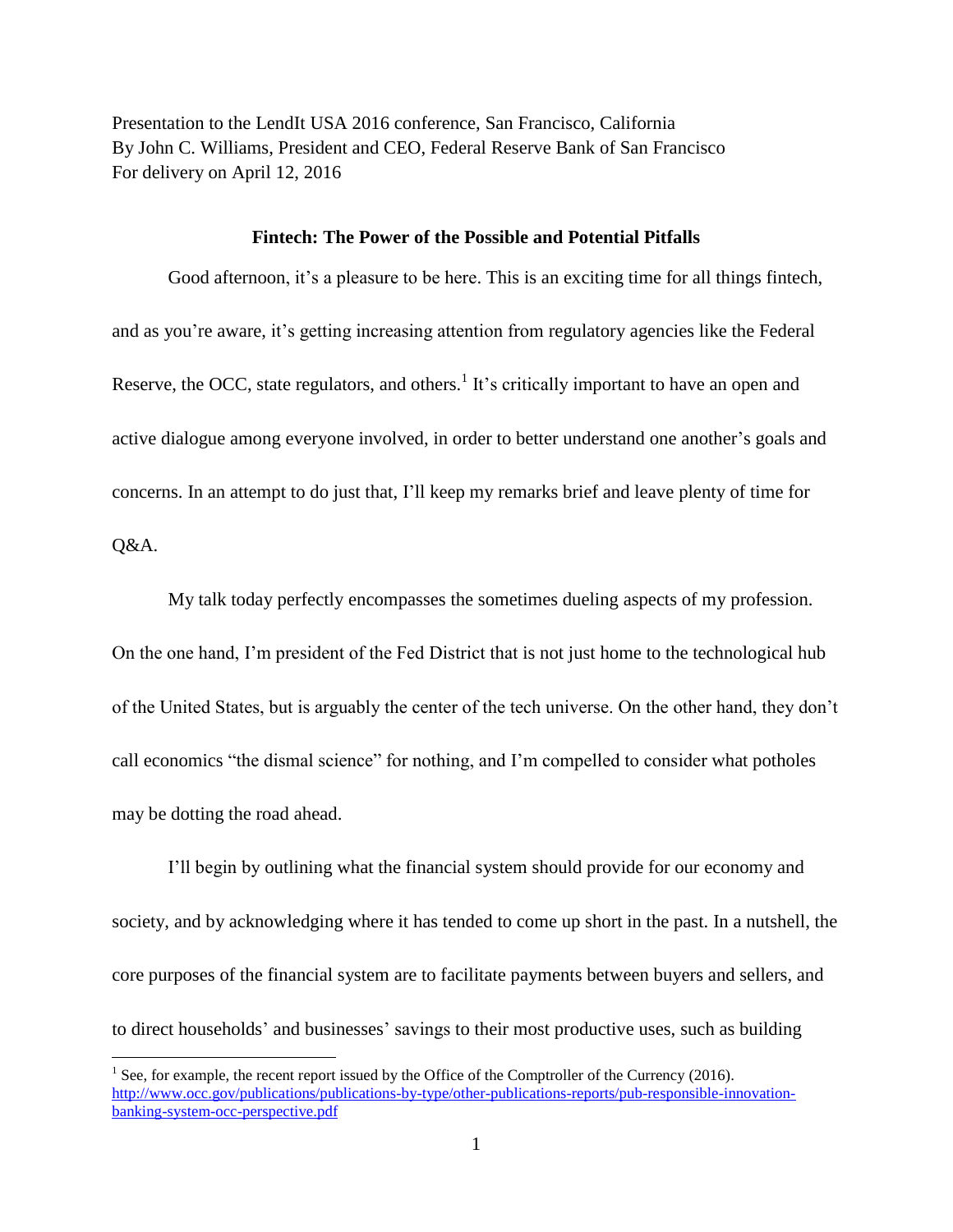Presentation to the LendIt USA 2016 conference, San Francisco, California By John C. Williams, President and CEO, Federal Reserve Bank of San Francisco For delivery on April 12, 2016

## **Fintech: The Power of the Possible and Potential Pitfalls**

Good afternoon, it's a pleasure to be here. This is an exciting time for all things fintech, and as you're aware, it's getting increasing attention from regulatory agencies like the Federal Reserve, the OCC, state regulators, and others.<sup>1</sup> It's critically important to have an open and active dialogue among everyone involved, in order to better understand one another's goals and concerns. In an attempt to do just that, I'll keep my remarks brief and leave plenty of time for

Q&A.

 $\overline{a}$ 

My talk today perfectly encompasses the sometimes dueling aspects of my profession. On the one hand, I'm president of the Fed District that is not just home to the technological hub of the United States, but is arguably the center of the tech universe. On the other hand, they don't call economics "the dismal science" for nothing, and I'm compelled to consider what potholes may be dotting the road ahead.

I'll begin by outlining what the financial system should provide for our economy and society, and by acknowledging where it has tended to come up short in the past. In a nutshell, the core purposes of the financial system are to facilitate payments between buyers and sellers, and to direct households' and businesses' savings to their most productive uses, such as building

<sup>&</sup>lt;sup>1</sup> See, for example, the recent report issued by the Office of the Comptroller of the Currency (2016). [http://www.occ.gov/publications/publications-by-type/other-publications-reports/pub-responsible-innovation](http://www.occ.gov/publications/publications-by-type/other-publications-reports/pub-responsible-innovation-banking-system-occ-perspective.pdf)[banking-system-occ-perspective.pdf](http://www.occ.gov/publications/publications-by-type/other-publications-reports/pub-responsible-innovation-banking-system-occ-perspective.pdf)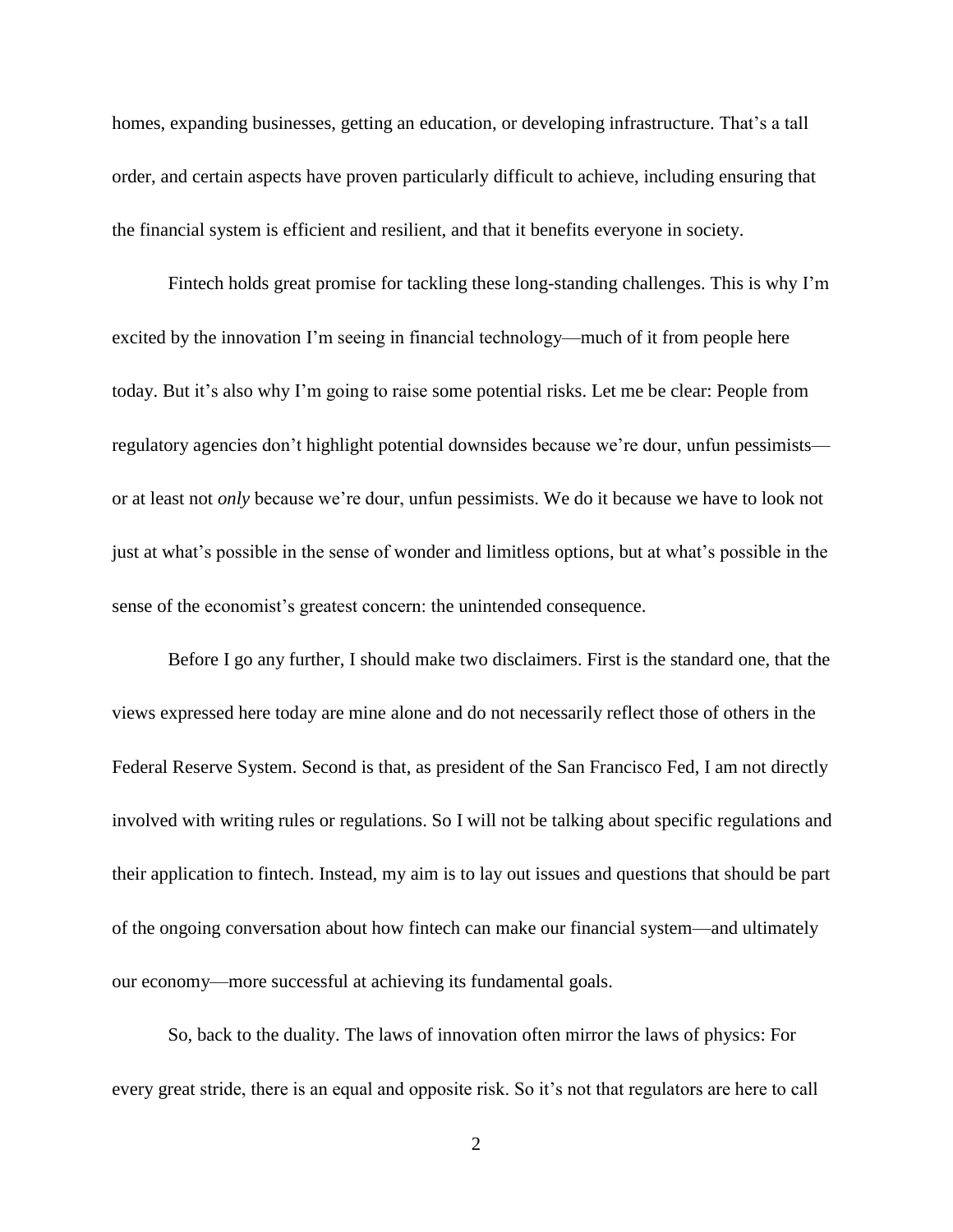homes, expanding businesses, getting an education, or developing infrastructure. That's a tall order, and certain aspects have proven particularly difficult to achieve, including ensuring that the financial system is efficient and resilient, and that it benefits everyone in society.

Fintech holds great promise for tackling these long-standing challenges. This is why I'm excited by the innovation I'm seeing in financial technology—much of it from people here today. But it's also why I'm going to raise some potential risks. Let me be clear: People from regulatory agencies don't highlight potential downsides because we're dour, unfun pessimists or at least not *only* because we're dour, unfun pessimists. We do it because we have to look not just at what's possible in the sense of wonder and limitless options, but at what's possible in the sense of the economist's greatest concern: the unintended consequence.

Before I go any further, I should make two disclaimers. First is the standard one, that the views expressed here today are mine alone and do not necessarily reflect those of others in the Federal Reserve System. Second is that, as president of the San Francisco Fed, I am not directly involved with writing rules or regulations. So I will not be talking about specific regulations and their application to fintech. Instead, my aim is to lay out issues and questions that should be part of the ongoing conversation about how fintech can make our financial system—and ultimately our economy—more successful at achieving its fundamental goals.

So, back to the duality. The laws of innovation often mirror the laws of physics: For every great stride, there is an equal and opposite risk. So it's not that regulators are here to call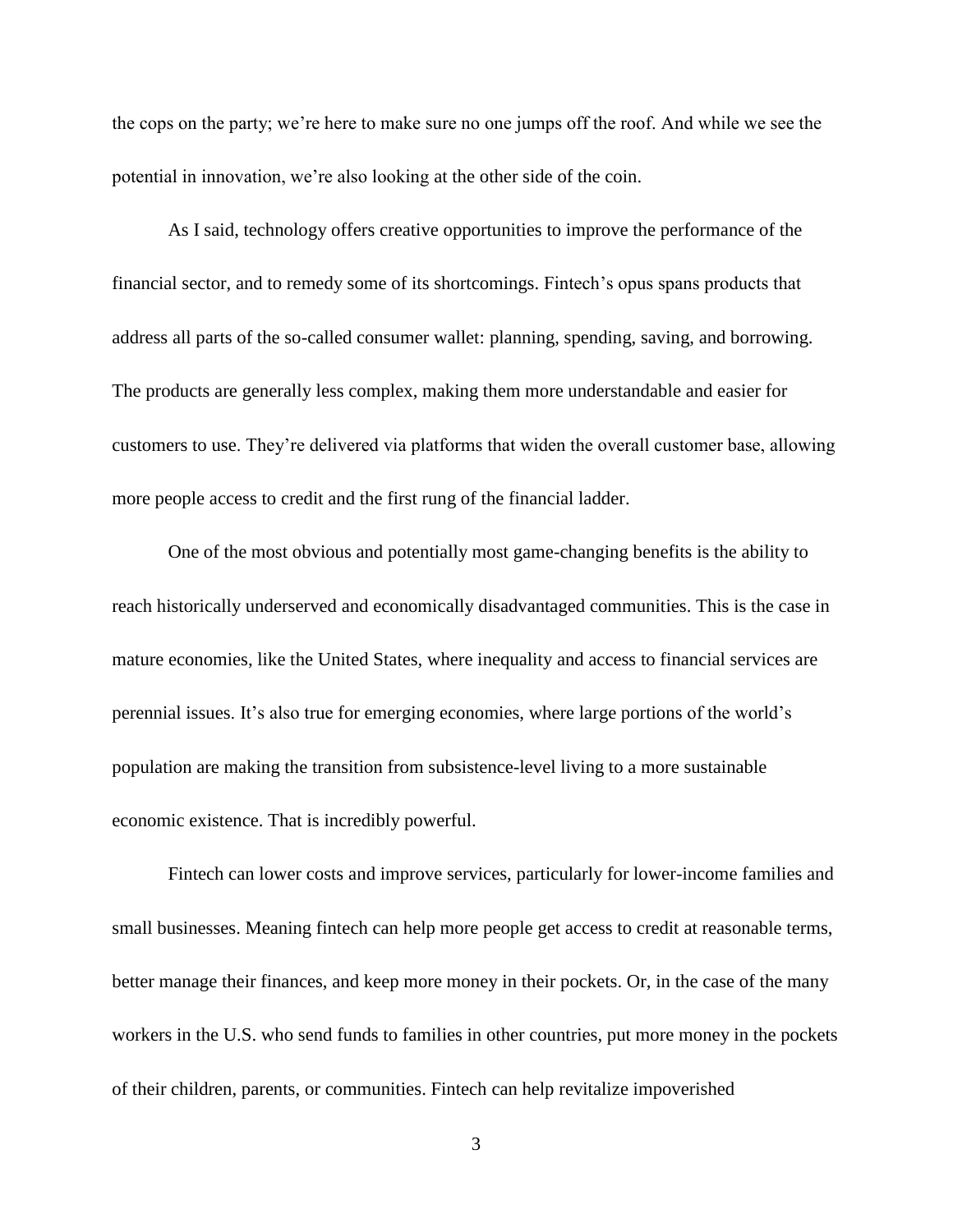the cops on the party; we're here to make sure no one jumps off the roof. And while we see the potential in innovation, we're also looking at the other side of the coin.

As I said, technology offers creative opportunities to improve the performance of the financial sector, and to remedy some of its shortcomings. Fintech's opus spans products that address all parts of the so-called consumer wallet: planning, spending, saving, and borrowing. The products are generally less complex, making them more understandable and easier for customers to use. They're delivered via platforms that widen the overall customer base, allowing more people access to credit and the first rung of the financial ladder.

One of the most obvious and potentially most game-changing benefits is the ability to reach historically underserved and economically disadvantaged communities. This is the case in mature economies, like the United States, where inequality and access to financial services are perennial issues. It's also true for emerging economies, where large portions of the world's population are making the transition from subsistence-level living to a more sustainable economic existence. That is incredibly powerful.

Fintech can lower costs and improve services, particularly for lower-income families and small businesses. Meaning fintech can help more people get access to credit at reasonable terms, better manage their finances, and keep more money in their pockets. Or, in the case of the many workers in the U.S. who send funds to families in other countries, put more money in the pockets of their children, parents, or communities. Fintech can help revitalize impoverished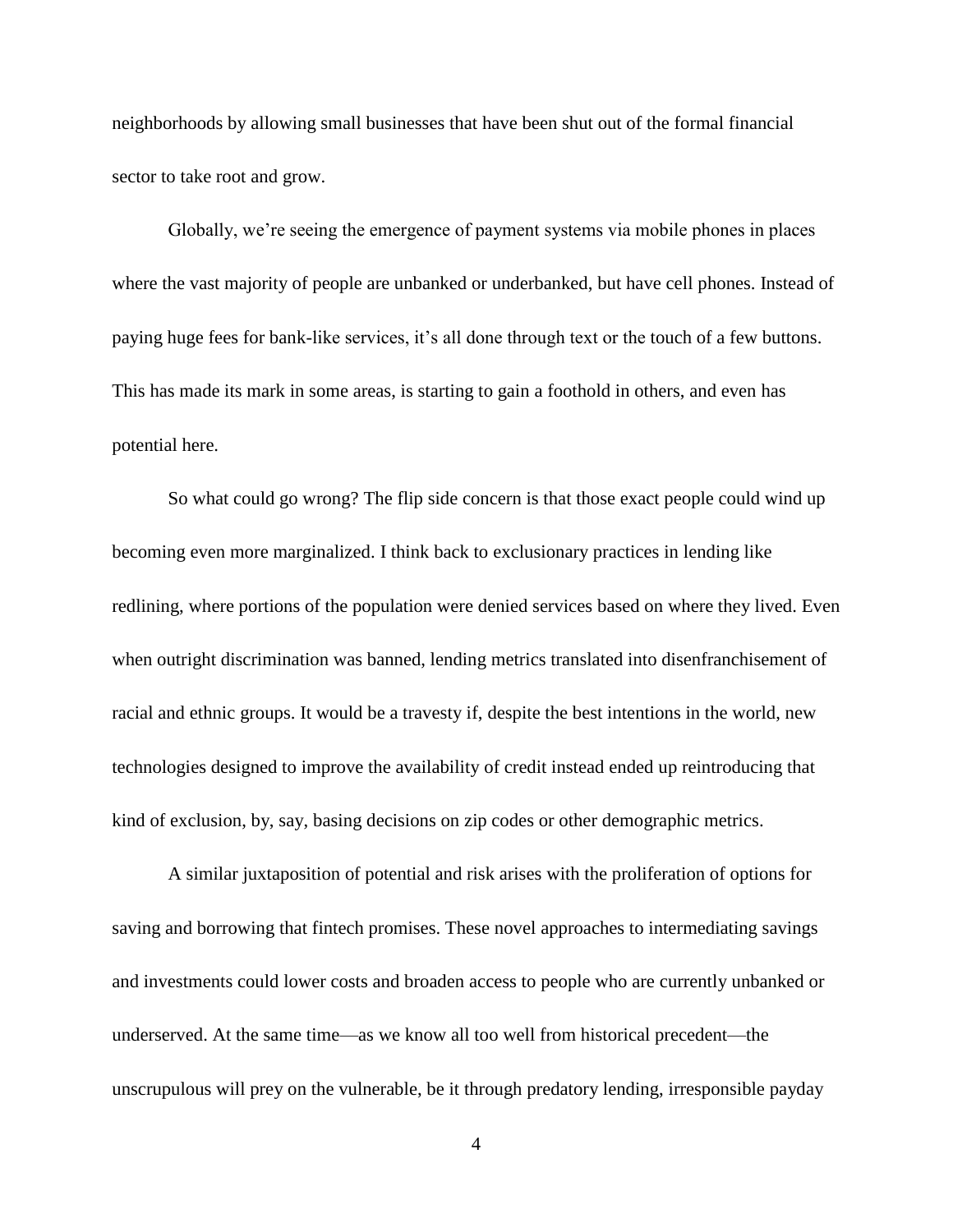neighborhoods by allowing small businesses that have been shut out of the formal financial sector to take root and grow.

Globally, we're seeing the emergence of payment systems via mobile phones in places where the vast majority of people are unbanked or underbanked, but have cell phones. Instead of paying huge fees for bank-like services, it's all done through text or the touch of a few buttons. This has made its mark in some areas, is starting to gain a foothold in others, and even has potential here.

So what could go wrong? The flip side concern is that those exact people could wind up becoming even more marginalized. I think back to exclusionary practices in lending like redlining, where portions of the population were denied services based on where they lived. Even when outright discrimination was banned, lending metrics translated into disenfranchisement of racial and ethnic groups. It would be a travesty if, despite the best intentions in the world, new technologies designed to improve the availability of credit instead ended up reintroducing that kind of exclusion, by, say, basing decisions on zip codes or other demographic metrics.

A similar juxtaposition of potential and risk arises with the proliferation of options for saving and borrowing that fintech promises. These novel approaches to intermediating savings and investments could lower costs and broaden access to people who are currently unbanked or underserved. At the same time—as we know all too well from historical precedent—the unscrupulous will prey on the vulnerable, be it through predatory lending, irresponsible payday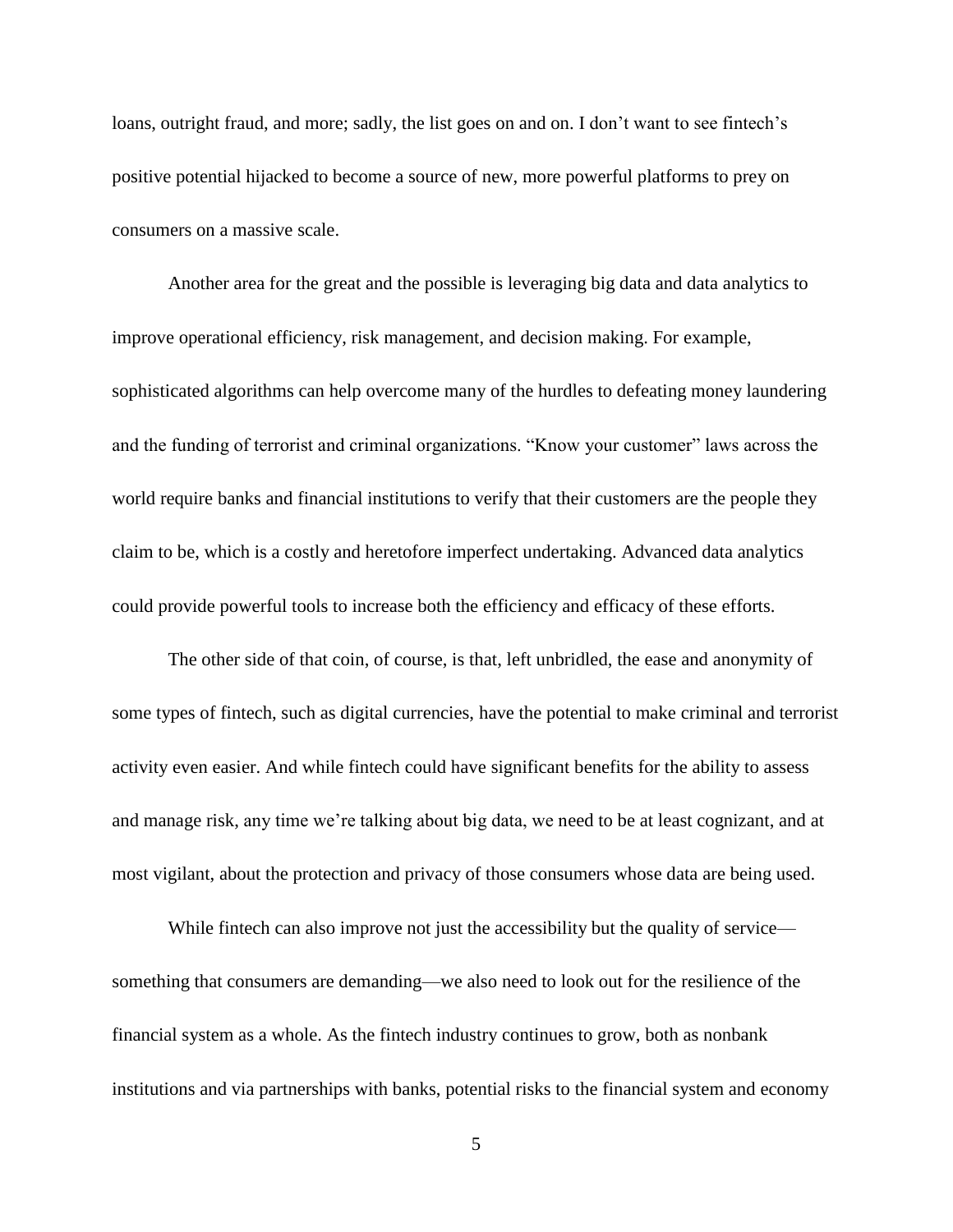loans, outright fraud, and more; sadly, the list goes on and on. I don't want to see fintech's positive potential hijacked to become a source of new, more powerful platforms to prey on consumers on a massive scale.

Another area for the great and the possible is leveraging big data and data analytics to improve operational efficiency, risk management, and decision making. For example, sophisticated algorithms can help overcome many of the hurdles to defeating money laundering and the funding of terrorist and criminal organizations. "Know your customer" laws across the world require banks and financial institutions to verify that their customers are the people they claim to be, which is a costly and heretofore imperfect undertaking. Advanced data analytics could provide powerful tools to increase both the efficiency and efficacy of these efforts.

The other side of that coin, of course, is that, left unbridled, the ease and anonymity of some types of fintech, such as digital currencies, have the potential to make criminal and terrorist activity even easier. And while fintech could have significant benefits for the ability to assess and manage risk, any time we're talking about big data, we need to be at least cognizant, and at most vigilant, about the protection and privacy of those consumers whose data are being used.

While fintech can also improve not just the accessibility but the quality of service something that consumers are demanding—we also need to look out for the resilience of the financial system as a whole. As the fintech industry continues to grow, both as nonbank institutions and via partnerships with banks, potential risks to the financial system and economy